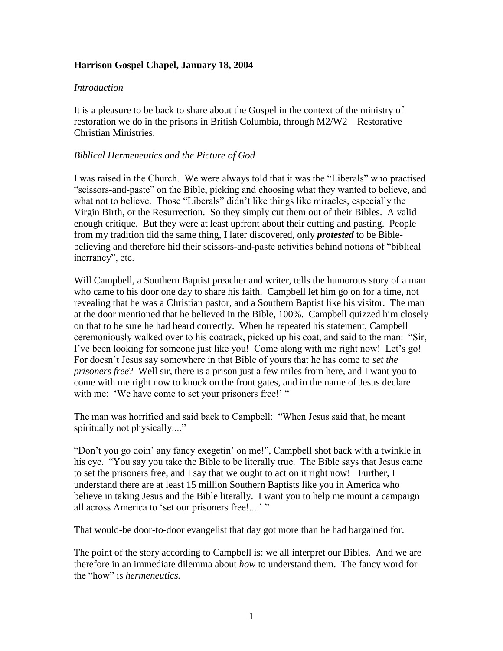## **Harrison Gospel Chapel, January 18, 2004**

#### *Introduction*

It is a pleasure to be back to share about the Gospel in the context of the ministry of restoration we do in the prisons in British Columbia, through M2/W2 – Restorative Christian Ministries.

#### *Biblical Hermeneutics and the Picture of God*

I was raised in the Church. We were always told that it was the "Liberals" who practised "scissors-and-paste" on the Bible, picking and choosing what they wanted to believe, and what not to believe. Those "Liberals" didn't like things like miracles, especially the Virgin Birth, or the Resurrection. So they simply cut them out of their Bibles. A valid enough critique. But they were at least upfront about their cutting and pasting. People from my tradition did the same thing, I later discovered, only *protested* to be Biblebelieving and therefore hid their scissors-and-paste activities behind notions of "biblical inerrancy", etc.

Will Campbell, a Southern Baptist preacher and writer, tells the humorous story of a man who came to his door one day to share his faith. Campbell let him go on for a time, not revealing that he was a Christian pastor, and a Southern Baptist like his visitor. The man at the door mentioned that he believed in the Bible, 100%. Campbell quizzed him closely on that to be sure he had heard correctly. When he repeated his statement, Campbell ceremoniously walked over to his coatrack, picked up his coat, and said to the man: "Sir, I've been looking for someone just like you! Come along with me right now! Let's go! For doesn't Jesus say somewhere in that Bible of yours that he has come to *set the prisoners free*? Well sir, there is a prison just a few miles from here, and I want you to come with me right now to knock on the front gates, and in the name of Jesus declare with me: 'We have come to set your prisoners free!' "

The man was horrified and said back to Campbell: "When Jesus said that, he meant spiritually not physically...."

"Don't you go doin' any fancy exegetin' on me!", Campbell shot back with a twinkle in his eye. "You say you take the Bible to be literally true. The Bible says that Jesus came to set the prisoners free, and I say that we ought to act on it right now! Further, I understand there are at least 15 million Southern Baptists like you in America who believe in taking Jesus and the Bible literally. I want you to help me mount a campaign all across America to 'set our prisoners free!....' "

That would-be door-to-door evangelist that day got more than he had bargained for.

The point of the story according to Campbell is: we all interpret our Bibles. And we are therefore in an immediate dilemma about *how* to understand them. The fancy word for the "how" is *hermeneutics.*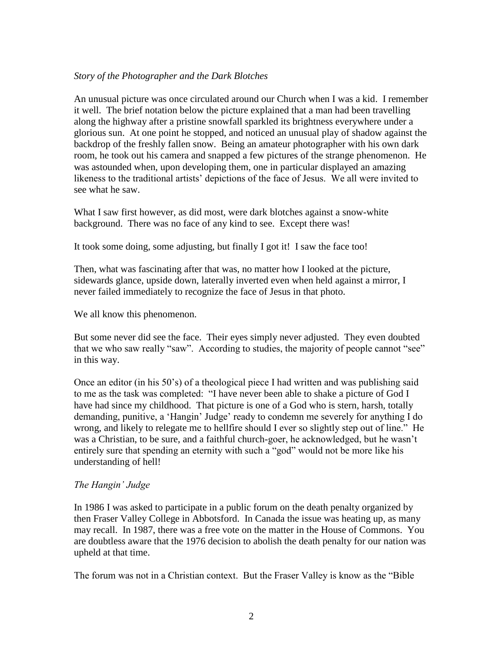### *Story of the Photographer and the Dark Blotches*

An unusual picture was once circulated around our Church when I was a kid. I remember it well. The brief notation below the picture explained that a man had been travelling along the highway after a pristine snowfall sparkled its brightness everywhere under a glorious sun. At one point he stopped, and noticed an unusual play of shadow against the backdrop of the freshly fallen snow. Being an amateur photographer with his own dark room, he took out his camera and snapped a few pictures of the strange phenomenon. He was astounded when, upon developing them, one in particular displayed an amazing likeness to the traditional artists' depictions of the face of Jesus. We all were invited to see what he saw.

What I saw first however, as did most, were dark blotches against a snow-white background. There was no face of any kind to see. Except there was!

It took some doing, some adjusting, but finally I got it! I saw the face too!

Then, what was fascinating after that was, no matter how I looked at the picture, sidewards glance, upside down, laterally inverted even when held against a mirror, I never failed immediately to recognize the face of Jesus in that photo.

We all know this phenomenon.

But some never did see the face. Their eyes simply never adjusted. They even doubted that we who saw really "saw". According to studies, the majority of people cannot "see" in this way.

Once an editor (in his 50's) of a theological piece I had written and was publishing said to me as the task was completed: "I have never been able to shake a picture of God I have had since my childhood. That picture is one of a God who is stern, harsh, totally demanding, punitive, a 'Hangin' Judge' ready to condemn me severely for anything I do wrong, and likely to relegate me to hellfire should I ever so slightly step out of line." He was a Christian, to be sure, and a faithful church-goer, he acknowledged, but he wasn't entirely sure that spending an eternity with such a "god" would not be more like his understanding of hell!

# *The Hangin' Judge*

In 1986 I was asked to participate in a public forum on the death penalty organized by then Fraser Valley College in Abbotsford. In Canada the issue was heating up, as many may recall. In 1987, there was a free vote on the matter in the House of Commons. You are doubtless aware that the 1976 decision to abolish the death penalty for our nation was upheld at that time.

The forum was not in a Christian context. But the Fraser Valley is know as the "Bible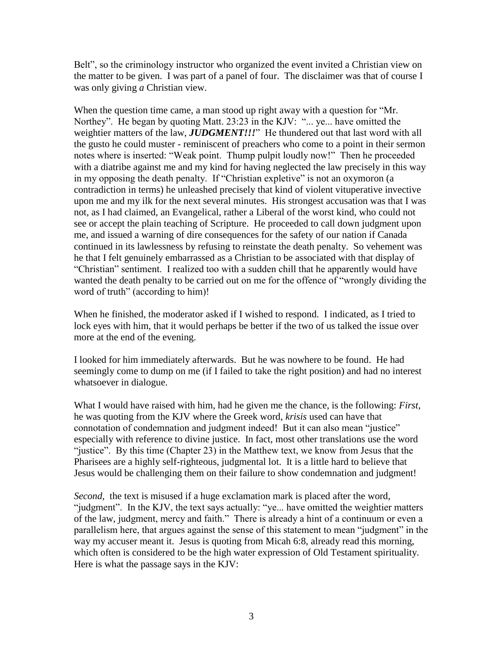Belt", so the criminology instructor who organized the event invited a Christian view on the matter to be given. I was part of a panel of four. The disclaimer was that of course I was only giving *a* Christian view.

When the question time came, a man stood up right away with a question for "Mr. Northey". He began by quoting Matt. 23:23 in the KJV: "... ye... have omitted the weightier matters of the law, **JUDGMENT!!!**" He thundered out that last word with all the gusto he could muster - reminiscent of preachers who come to a point in their sermon notes where is inserted: "Weak point. Thump pulpit loudly now!" Then he proceeded with a diatribe against me and my kind for having neglected the law precisely in this way in my opposing the death penalty. If "Christian expletive" is not an oxymoron (a contradiction in terms) he unleashed precisely that kind of violent vituperative invective upon me and my ilk for the next several minutes. His strongest accusation was that I was not, as I had claimed, an Evangelical, rather a Liberal of the worst kind, who could not see or accept the plain teaching of Scripture. He proceeded to call down judgment upon me, and issued a warning of dire consequences for the safety of our nation if Canada continued in its lawlessness by refusing to reinstate the death penalty. So vehement was he that I felt genuinely embarrassed as a Christian to be associated with that display of "Christian" sentiment. I realized too with a sudden chill that he apparently would have wanted the death penalty to be carried out on me for the offence of "wrongly dividing the word of truth" (according to him)!

When he finished, the moderator asked if I wished to respond. I indicated, as I tried to lock eyes with him, that it would perhaps be better if the two of us talked the issue over more at the end of the evening.

I looked for him immediately afterwards. But he was nowhere to be found. He had seemingly come to dump on me (if I failed to take the right position) and had no interest whatsoever in dialogue.

What I would have raised with him, had he given me the chance, is the following: *First*, he was quoting from the KJV where the Greek word, *krisis* used can have that connotation of condemnation and judgment indeed! But it can also mean "justice" especially with reference to divine justice. In fact, most other translations use the word "justice". By this time (Chapter 23) in the Matthew text, we know from Jesus that the Pharisees are a highly self-righteous, judgmental lot. It is a little hard to believe that Jesus would be challenging them on their failure to show condemnation and judgment!

*Second*, the text is misused if a huge exclamation mark is placed after the word, "judgment". In the KJV, the text says actually: "ye... have omitted the weightier matters of the law, judgment, mercy and faith." There is already a hint of a continuum or even a parallelism here, that argues against the sense of this statement to mean "judgment" in the way my accuser meant it. Jesus is quoting from Micah 6:8, already read this morning, which often is considered to be the high water expression of Old Testament spirituality. Here is what the passage says in the KJV: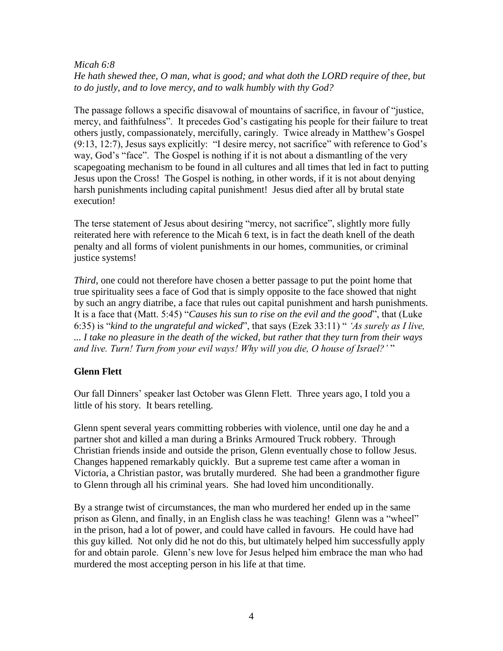#### *Micah 6:8 He hath shewed thee, O man, what is good; and what doth the LORD require of thee, but to do justly, and to love mercy, and to walk humbly with thy God?*

The passage follows a specific disavowal of mountains of sacrifice, in favour of "justice, mercy, and faithfulness". It precedes God's castigating his people for their failure to treat others justly, compassionately, mercifully, caringly. Twice already in Matthew's Gospel (9:13, 12:7), Jesus says explicitly: "I desire mercy, not sacrifice" with reference to God's way, God's "face". The Gospel is nothing if it is not about a dismantling of the very scapegoating mechanism to be found in all cultures and all times that led in fact to putting Jesus upon the Cross! The Gospel is nothing, in other words, if it is not about denying harsh punishments including capital punishment! Jesus died after all by brutal state execution!

The terse statement of Jesus about desiring "mercy, not sacrifice", slightly more fully reiterated here with reference to the Micah 6 text, is in fact the death knell of the death penalty and all forms of violent punishments in our homes, communities, or criminal justice systems!

*Third*, one could not therefore have chosen a better passage to put the point home that true spirituality sees a face of God that is simply opposite to the face showed that night by such an angry diatribe, a face that rules out capital punishment and harsh punishments. It is a face that (Matt. 5:45) "*Causes his sun to rise on the evil and the good*", that (Luke 6:35) is "*kind to the ungrateful and wicked*", that says (Ezek 33:11) " *'As surely as I live, ... I take no pleasure in the death of the wicked, but rather that they turn from their ways and live. Turn! Turn from your evil ways! Why will you die, O house of Israel?'* "

# **Glenn Flett**

Our fall Dinners' speaker last October was Glenn Flett. Three years ago, I told you a little of his story. It bears retelling.

Glenn spent several years committing robberies with violence, until one day he and a partner shot and killed a man during a Brinks Armoured Truck robbery. Through Christian friends inside and outside the prison, Glenn eventually chose to follow Jesus. Changes happened remarkably quickly. But a supreme test came after a woman in Victoria, a Christian pastor, was brutally murdered. She had been a grandmother figure to Glenn through all his criminal years. She had loved him unconditionally.

By a strange twist of circumstances, the man who murdered her ended up in the same prison as Glenn, and finally, in an English class he was teaching! Glenn was a "wheel" in the prison, had a lot of power, and could have called in favours. He could have had this guy killed. Not only did he not do this, but ultimately helped him successfully apply for and obtain parole. Glenn's new love for Jesus helped him embrace the man who had murdered the most accepting person in his life at that time.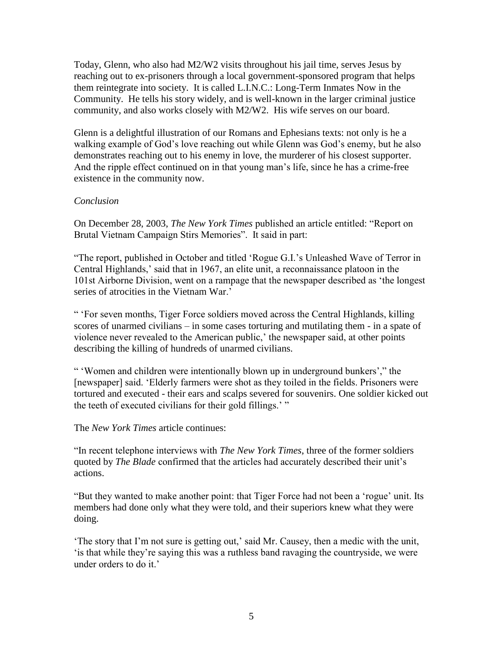Today, Glenn, who also had M2/W2 visits throughout his jail time, serves Jesus by reaching out to ex-prisoners through a local government-sponsored program that helps them reintegrate into society. It is called L.I.N.C.: Long-Term Inmates Now in the Community. He tells his story widely, and is well-known in the larger criminal justice community, and also works closely with M2/W2. His wife serves on our board.

Glenn is a delightful illustration of our Romans and Ephesians texts: not only is he a walking example of God's love reaching out while Glenn was God's enemy, but he also demonstrates reaching out to his enemy in love, the murderer of his closest supporter. And the ripple effect continued on in that young man's life, since he has a crime-free existence in the community now.

### *Conclusion*

On December 28, 2003, *The New York Times* published an article entitled: "Report on Brutal Vietnam Campaign Stirs Memories". It said in part:

"The report, published in October and titled 'Rogue G.I.'s Unleashed Wave of Terror in Central Highlands,' said that in 1967, an elite unit, a reconnaissance platoon in the 101st Airborne Division, went on a rampage that the newspaper described as 'the longest series of atrocities in the Vietnam War.'

" 'For seven months, Tiger Force soldiers moved across the Central Highlands, killing scores of unarmed civilians – in some cases torturing and mutilating them - in a spate of violence never revealed to the American public,' the newspaper said, at other points describing the killing of hundreds of unarmed civilians.

" 'Women and children were intentionally blown up in underground bunkers'," the [newspaper] said. 'Elderly farmers were shot as they toiled in the fields. Prisoners were tortured and executed - their ears and scalps severed for souvenirs. One soldier kicked out the teeth of executed civilians for their gold fillings.' "

The *New York Times* article continues:

"In recent telephone interviews with *The New York Times*, three of the former soldiers quoted by *The Blade* confirmed that the articles had accurately described their unit's actions.

"But they wanted to make another point: that Tiger Force had not been a 'rogue' unit. Its members had done only what they were told, and their superiors knew what they were doing.

'The story that I'm not sure is getting out,' said Mr. Causey, then a medic with the unit, 'is that while they're saying this was a ruthless band ravaging the countryside, we were under orders to do it.